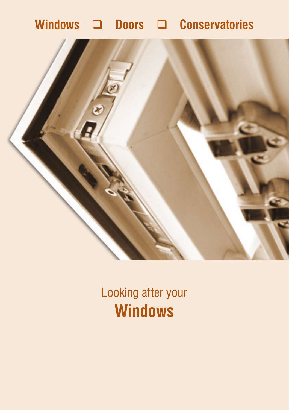# **Windows Doors Conservatories**



Looking after your **Windows**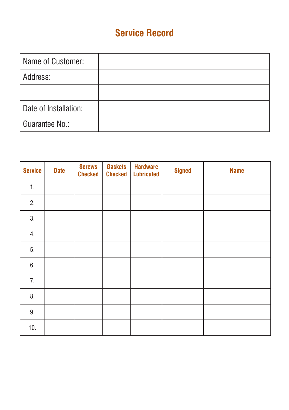### **Service Record**

| Name of Customer:     |  |
|-----------------------|--|
| Address:              |  |
|                       |  |
| Date of Installation: |  |
| Guarantee No.:        |  |

| <b>Service</b> | <b>Date</b> | <b>Screws</b><br><b>Checked</b> | <b>Gaskets</b><br><b>Checked</b> | <b>Hardware</b><br><b>Lubricated</b> | <b>Signed</b> | <b>Name</b> |
|----------------|-------------|---------------------------------|----------------------------------|--------------------------------------|---------------|-------------|
| 1.             |             |                                 |                                  |                                      |               |             |
| 2.             |             |                                 |                                  |                                      |               |             |
| 3.             |             |                                 |                                  |                                      |               |             |
| 4.             |             |                                 |                                  |                                      |               |             |
| 5.             |             |                                 |                                  |                                      |               |             |
| 6.             |             |                                 |                                  |                                      |               |             |
| 7.             |             |                                 |                                  |                                      |               |             |
| 8.             |             |                                 |                                  |                                      |               |             |
| 9.             |             |                                 |                                  |                                      |               |             |
| 10.            |             |                                 |                                  |                                      |               |             |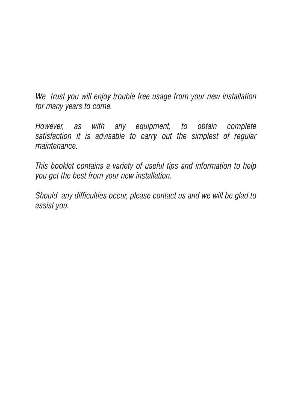*We trust you will enjoy trouble free usage from your new installation for many years to come.*

*However, as with any equipment, to obtain complete satisfaction it is advisable to carry out the simplest of regular maintenance.*

*This booklet contains a variety of useful tips and information to help you get the best from your new installation.*

*Should any difficulties occur, please contact us and we will be glad to assist you.*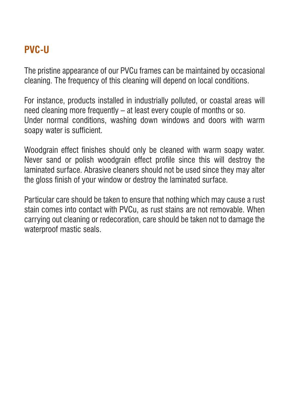# **PVC-U**

The pristine appearance of our PVCu frames can be maintained by occasional cleaning. The frequency of this cleaning will depend on local conditions.

For instance, products installed in industrially polluted, or coastal areas will need cleaning more frequently – at least every couple of months or so. Under normal conditions, washing down windows and doors with warm soapy water is sufficient.

Woodgrain effect finishes should only be cleaned with warm soapy water. Never sand or polish woodgrain effect profile since this will destroy the laminated surface. Abrasive cleaners should not be used since they may alter the gloss finish of your window or destroy the laminated surface.

Particular care should be taken to ensure that nothing which may cause a rust stain comes into contact with PVCu, as rust stains are not removable. When carrying out cleaning or redecoration, care should be taken not to damage the waterproof mastic seals.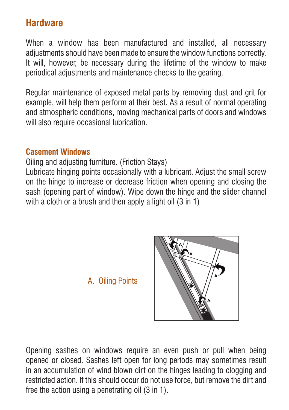### **Hardware**

When a window has been manufactured and installed, all necessary adjustments should have been made to ensure the window functions correctly. It will, however, be necessary during the lifetime of the window to make periodical adjustments and maintenance checks to the gearing.

Regular maintenance of exposed metal parts by removing dust and grit for example, will help them perform at their best. As a result of normal operating and atmospheric conditions, moving mechanical parts of doors and windows will also require occasional lubrication.

#### **Casement Windows**

Oiling and adjusting furniture. (Friction Stays)

Lubricate hinging points occasionally with a lubricant. Adjust the small screw on the hinge to increase or decrease friction when opening and closing the sash (opening part of window). Wipe down the hinge and the slider channel with a cloth or a brush and then apply a light oil (3 in 1)

#### A. Oiling Points



Opening sashes on windows require an even push or pull when being opened or closed. Sashes left open for long periods may sometimes result in an accumulation of wind blown dirt on the hinges leading to clogging and restricted action. If this should occur do not use force, but remove the dirt and free the action using a penetrating oil (3 in 1).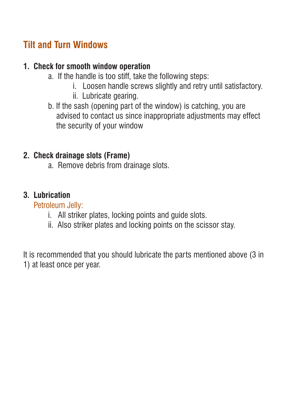# **Tilt and Turn Windows**

#### **1. Check for smooth window operation**

- a. If the handle is too stiff, take the following steps:
	- i. Loosen handle screws slightly and retry until satisfactory.
	- ii. Lubricate gearing.
- b. If the sash (opening part of the window) is catching, you are advised to contact us since inappropriate adjustments may effect the security of your window

#### **2. Check drainage slots (Frame)**

a. Remove debris from drainage slots.

#### **3. Lubrication**

Petroleum Jelly:

- i. All striker plates, locking points and guide slots.
- ii. Also striker plates and locking points on the scissor stay.

It is recommended that you should lubricate the parts mentioned above (3 in 1) at least once per year.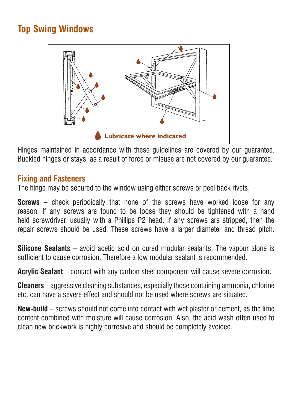# **Top Swing Windows**



Hinges maintained in accordance with these guidelines are covered by our guarantee. Buckled hinges or stays, as a result of force or misuse are not covered by our guarantee.

#### **Fixing and Fasteners**

The hinge may be secured to the window using either screws or peel back rivets.

**Screws** – check periodically that none of the screws have worked loose for any reason. If any screws are found to be loose they should be tightened with a hand held screwdriver, usually with a Phillips P2 head. If any screws are stripped, then the repair screws should be used. These screws have a larger diameter and thread pitch.

**Silicone Sealants** – avoid acetic acid on cured modular sealants. The vapour alone is sufficient to cause corrosion. Therefore a low modular sealant is recommended.

**Acrylic Sealant** – contact with any carbon steel component will cause severe corrosion.

**Cleaners** – aggressive cleaning substances, especially those containing ammonia, chlorine etc. can have a severe effect and should not be used where screws are situated.

**New-build** – screws should not come into contact with wet plaster or cement, as the lime content combined with moisture will cause corrosion. Also, the acid wash often used to clean new brickwork is highly corrosive and should be completely avoided.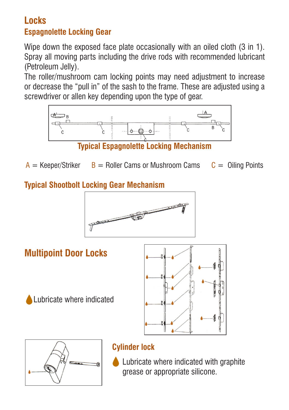# **Espagnolette Locking Gear Locks**

Wipe down the exposed face plate occasionally with an oiled cloth (3 in 1). Spray all moving parts including the drive rods with recommended lubricant (Petroleum Jelly).

The roller/mushroom cam locking points may need adjustment to increase or decrease the "pull in" of the sash to the frame. These are adjusted using a screwdriver or allen key depending upon the type of gear.



**Typical Espagnolette Locking Mechanism**

 $A =$  Keeper/Striker  $B =$  Roller Cams or Mushroom Cams  $C =$  Oiling Points

### **Typical Shootbolt Locking Gear Mechanism**



**Multipoint Door Locks**

Lubricate where indicated





### **Cylinder lock**

**Lubricate where indicated with graphite** grease or appropriate silicone.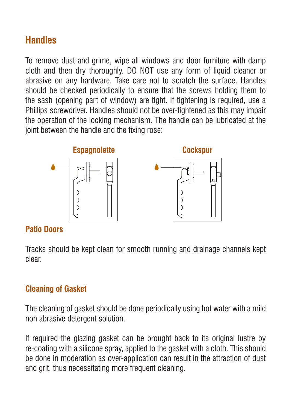## **Handles**

To remove dust and grime, wipe all windows and door furniture with damp cloth and then dry thoroughly. DO NOT use any form of liquid cleaner or abrasive on any hardware. Take care not to scratch the surface. Handles should be checked periodically to ensure that the screws holding them to the sash (opening part of window) are tight. If tightening is required, use a Phillips screwdriver. Handles should not be over-tightened as this may impair the operation of the locking mechanism. The handle can be lubricated at the joint between the handle and the fixing rose:



#### **Patio Doors**

Tracks should be kept clean for smooth running and drainage channels kept clear.

### **Cleaning of Gasket**

The cleaning of gasket should be done periodically using hot water with a mild non abrasive detergent solution.

If required the glazing gasket can be brought back to its original lustre by re-coating with a silicone spray, applied to the gasket with a cloth. This should be done in moderation as over-application can result in the attraction of dust and grit, thus necessitating more frequent cleaning.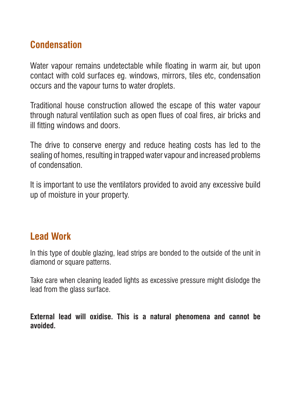# **Condensation**

Water vapour remains undetectable while floating in warm air, but upon contact with cold surfaces eg. windows, mirrors, tiles etc, condensation occurs and the vapour turns to water droplets.

Traditional house construction allowed the escape of this water vapour through natural ventilation such as open flues of coal fires, air bricks and ill fitting windows and doors.

The drive to conserve energy and reduce heating costs has led to the sealing of homes, resulting in trapped water vapour and increased problems of condensation.

It is important to use the ventilators provided to avoid any excessive build up of moisture in your property.

### **Lead Work**

In this type of double glazing, lead strips are bonded to the outside of the unit in diamond or square patterns.

Take care when cleaning leaded lights as excessive pressure might dislodge the lead from the glass surface.

**External lead will oxidise. This is a natural phenomena and cannot be avoided.**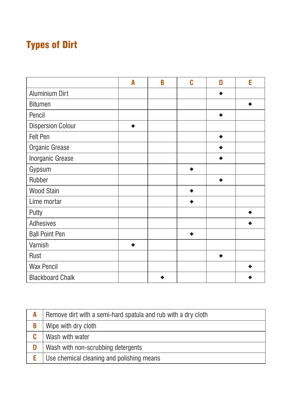# Types of Dirt

|                          | A | B | Ć | D | Ė |
|--------------------------|---|---|---|---|---|
| Aluminium Dirt           |   |   |   |   |   |
| <b>Bitumen</b>           |   |   |   |   |   |
| Pencil                   |   |   |   |   |   |
| <b>Dispersion Colour</b> |   |   |   |   |   |
| Felt Pen                 |   |   |   |   |   |
| Organic Grease           |   |   |   |   |   |
| Inorganic Grease         |   |   |   |   |   |
| Gypsum                   |   |   |   |   |   |
| Rubber                   |   |   |   |   |   |
| <b>Wood Stain</b>        |   |   |   |   |   |
| Lime mortar              |   |   |   |   |   |
| Putty                    |   |   |   |   |   |
| Adhesives                |   |   |   |   |   |
| <b>Ball Point Pen</b>    |   |   |   |   |   |
| Varnish                  |   |   |   |   |   |
| Rust                     |   |   |   |   |   |
| <b>Wax Pencil</b>        |   |   |   |   |   |
| <b>Blackboard Chalk</b>  |   |   |   |   |   |

| A | Remove dirt with a semi-hard spatula and rub with a dry cloth |
|---|---------------------------------------------------------------|
| B | Wipe with dry cloth                                           |
|   | Wash with water                                               |
| D | Wash with non-scrubbing detergents                            |
|   | Use chemical cleaning and polishing means                     |